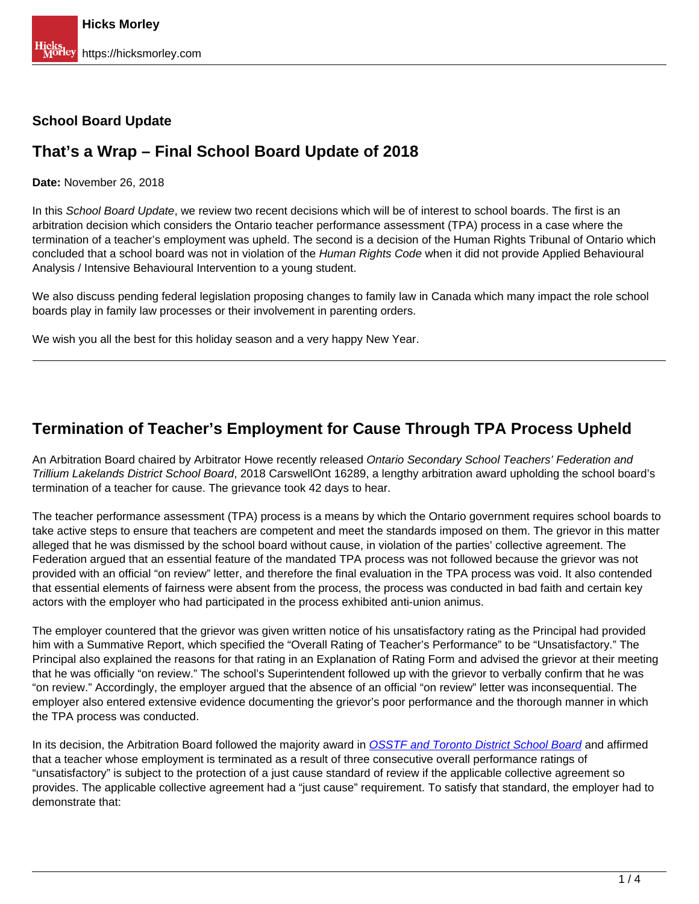#### **School Board Update**

#### **That's a Wrap – Final School Board Update of 2018**

**Date:** November 26, 2018

In this School Board Update, we review two recent decisions which will be of interest to school boards. The first is an arbitration decision which considers the Ontario teacher performance assessment (TPA) process in a case where the termination of a teacher's employment was upheld. The second is a decision of the Human Rights Tribunal of Ontario which concluded that a school board was not in violation of the Human Rights Code when it did not provide Applied Behavioural Analysis / Intensive Behavioural Intervention to a young student.

We also discuss pending federal legislation proposing changes to family law in Canada which many impact the role school boards play in family law processes or their involvement in parenting orders.

We wish you all the best for this holiday season and a very happy New Year.

## **Termination of Teacher's Employment for Cause Through TPA Process Upheld**

An Arbitration Board chaired by Arbitrator Howe recently released Ontario Secondary School Teachers' Federation and Trillium Lakelands District School Board, 2018 CarswellOnt 16289, a lengthy arbitration award upholding the school board's termination of a teacher for cause. The grievance took 42 days to hear.

The teacher performance assessment (TPA) process is a means by which the Ontario government requires school boards to take active steps to ensure that teachers are competent and meet the standards imposed on them. The grievor in this matter alleged that he was dismissed by the school board without cause, in violation of the parties' collective agreement. The Federation argued that an essential feature of the mandated TPA process was not followed because the grievor was not provided with an official "on review" letter, and therefore the final evaluation in the TPA process was void. It also contended that essential elements of fairness were absent from the process, the process was conducted in bad faith and certain key actors with the employer who had participated in the process exhibited anti-union animus.

The employer countered that the grievor was given written notice of his unsatisfactory rating as the Principal had provided him with a Summative Report, which specified the "Overall Rating of Teacher's Performance" to be "Unsatisfactory." The Principal also explained the reasons for that rating in an Explanation of Rating Form and advised the grievor at their meeting that he was officially "on review." The school's Superintendent followed up with the grievor to verbally confirm that he was "on review." Accordingly, the employer argued that the absence of an official "on review" letter was inconsequential. The employer also entered extensive evidence documenting the grievor's poor performance and the thorough manner in which the TPA process was conducted.

In its decision, the Arbitration Board followed the majority award in [OSSTF and Toronto District School Board](https://www.canlii.org/en/on/onla/doc/2011/2011canlii50235/2011canlii50235.html?searchUrlHash=AAAAAQAGZ3VzaXRhAAAAAAE&resultIndex=1) and affirmed that a teacher whose employment is terminated as a result of three consecutive overall performance ratings of "unsatisfactory" is subject to the protection of a just cause standard of review if the applicable collective agreement so provides. The applicable collective agreement had a "just cause" requirement. To satisfy that standard, the employer had to demonstrate that: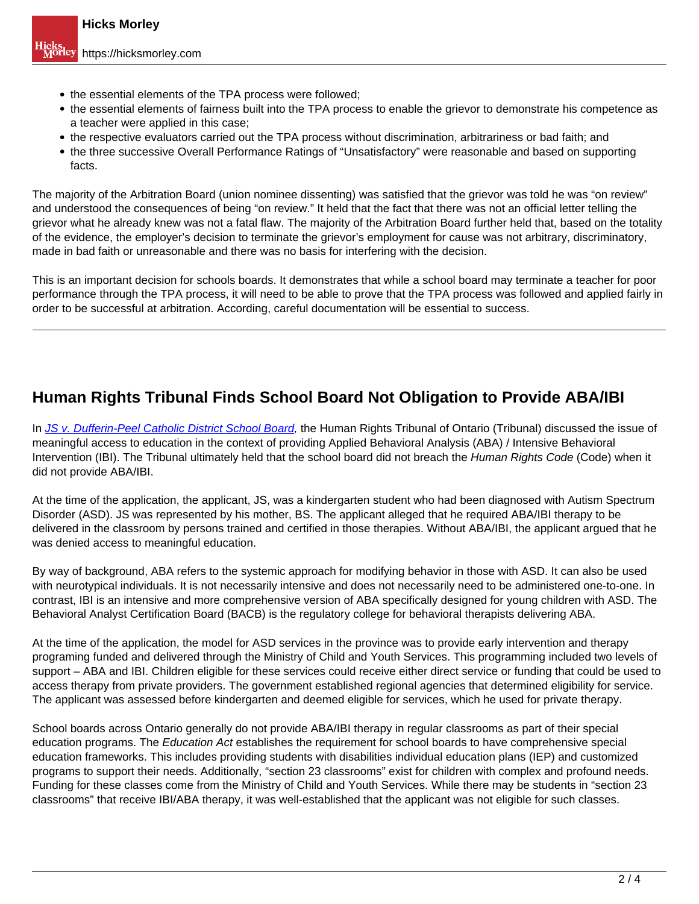- the essential elements of the TPA process were followed;
- the essential elements of fairness built into the TPA process to enable the grievor to demonstrate his competence as a teacher were applied in this case;
- the respective evaluators carried out the TPA process without discrimination, arbitrariness or bad faith; and
- the three successive Overall Performance Ratings of "Unsatisfactory" were reasonable and based on supporting facts.

The majority of the Arbitration Board (union nominee dissenting) was satisfied that the grievor was told he was "on review" and understood the consequences of being "on review." It held that the fact that there was not an official letter telling the grievor what he already knew was not a fatal flaw. The majority of the Arbitration Board further held that, based on the totality of the evidence, the employer's decision to terminate the grievor's employment for cause was not arbitrary, discriminatory, made in bad faith or unreasonable and there was no basis for interfering with the decision.

This is an important decision for schools boards. It demonstrates that while a school board may terminate a teacher for poor performance through the TPA process, it will need to be able to prove that the TPA process was followed and applied fairly in order to be successful at arbitration. According, careful documentation will be essential to success.

## **Human Rights Tribunal Finds School Board Not Obligation to Provide ABA/IBI**

In JS v. Dufferin-Peel Catholic District School Board, the Human Rights Tribunal of Ontario (Tribunal) discussed the issue of meaningful access to education in the context of providing Applied Behavioral Analysis (ABA) / Intensive Behavioral Intervention (IBI). The Tribunal ultimately held that the school board did not breach the Human Rights Code (Code) when it did not provide ABA/IBI.

At the time of the application, the applicant, JS, was a kindergarten student who had been diagnosed with Autism Spectrum Disorder (ASD). JS was represented by his mother, BS. The applicant alleged that he required ABA/IBI therapy to be delivered in the classroom by persons trained and certified in those therapies. Without ABA/IBI, the applicant argued that he was denied access to meaningful education.

By way of background, ABA refers to the systemic approach for modifying behavior in those with ASD. It can also be used with neurotypical individuals. It is not necessarily intensive and does not necessarily need to be administered one-to-one. In contrast, IBI is an intensive and more comprehensive version of ABA specifically designed for young children with ASD. The Behavioral Analyst Certification Board (BACB) is the regulatory college for behavioral therapists delivering ABA.

At the time of the application, the model for ASD services in the province was to provide early intervention and therapy programing funded and delivered through the Ministry of Child and Youth Services. This programming included two levels of support – ABA and IBI. Children eligible for these services could receive either direct service or funding that could be used to access therapy from private providers. The government established regional agencies that determined eligibility for service. The applicant was assessed before kindergarten and deemed eligible for services, which he used for private therapy.

School boards across Ontario generally do not provide ABA/IBI therapy in regular classrooms as part of their special education programs. The Education Act establishes the requirement for school boards to have comprehensive special education frameworks. This includes providing students with disabilities individual education plans (IEP) and customized programs to support their needs. Additionally, "section 23 classrooms" exist for children with complex and profound needs. Funding for these classes come from the Ministry of Child and Youth Services. While there may be students in "section 23 classrooms" that receive IBI/ABA therapy, it was well-established that the applicant was not eligible for such classes.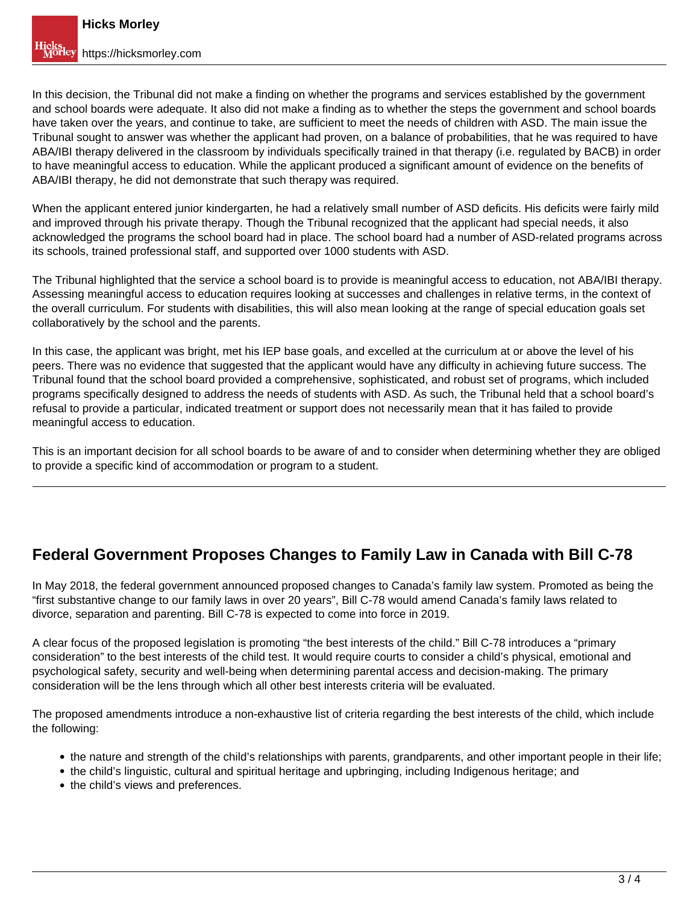In this decision, the Tribunal did not make a finding on whether the programs and services established by the government and school boards were adequate. It also did not make a finding as to whether the steps the government and school boards have taken over the years, and continue to take, are sufficient to meet the needs of children with ASD. The main issue the Tribunal sought to answer was whether the applicant had proven, on a balance of probabilities, that he was required to have ABA/IBI therapy delivered in the classroom by individuals specifically trained in that therapy (i.e. regulated by BACB) in order to have meaningful access to education. While the applicant produced a significant amount of evidence on the benefits of ABA/IBI therapy, he did not demonstrate that such therapy was required.

When the applicant entered junior kindergarten, he had a relatively small number of ASD deficits. His deficits were fairly mild and improved through his private therapy. Though the Tribunal recognized that the applicant had special needs, it also acknowledged the programs the school board had in place. The school board had a number of ASD-related programs across its schools, trained professional staff, and supported over 1000 students with ASD.

The Tribunal highlighted that the service a school board is to provide is meaningful access to education, not ABA/IBI therapy. Assessing meaningful access to education requires looking at successes and challenges in relative terms, in the context of the overall curriculum. For students with disabilities, this will also mean looking at the range of special education goals set collaboratively by the school and the parents.

In this case, the applicant was bright, met his IEP base goals, and excelled at the curriculum at or above the level of his peers. There was no evidence that suggested that the applicant would have any difficulty in achieving future success. The Tribunal found that the school board provided a comprehensive, sophisticated, and robust set of programs, which included programs specifically designed to address the needs of students with ASD. As such, the Tribunal held that a school board's refusal to provide a particular, indicated treatment or support does not necessarily mean that it has failed to provide meaningful access to education.

This is an important decision for all school boards to be aware of and to consider when determining whether they are obliged to provide a specific kind of accommodation or program to a student.

# **Federal Government Proposes Changes to Family Law in Canada with Bill C-78**

In May 2018, the federal government announced proposed changes to Canada's family law system. Promoted as being the "first substantive change to our family laws in over 20 years", Bill C-78 would amend Canada's family laws related to divorce, separation and parenting. Bill C-78 is expected to come into force in 2019.

A clear focus of the proposed legislation is promoting "the best interests of the child." Bill C-78 introduces a "primary consideration" to the best interests of the child test. It would require courts to consider a child's physical, emotional and psychological safety, security and well-being when determining parental access and decision-making. The primary consideration will be the lens through which all other best interests criteria will be evaluated.

The proposed amendments introduce a non-exhaustive list of criteria regarding the best interests of the child, which include the following:

- the nature and strength of the child's relationships with parents, grandparents, and other important people in their life;
- the child's linguistic, cultural and spiritual heritage and upbringing, including Indigenous heritage; and
- the child's views and preferences.